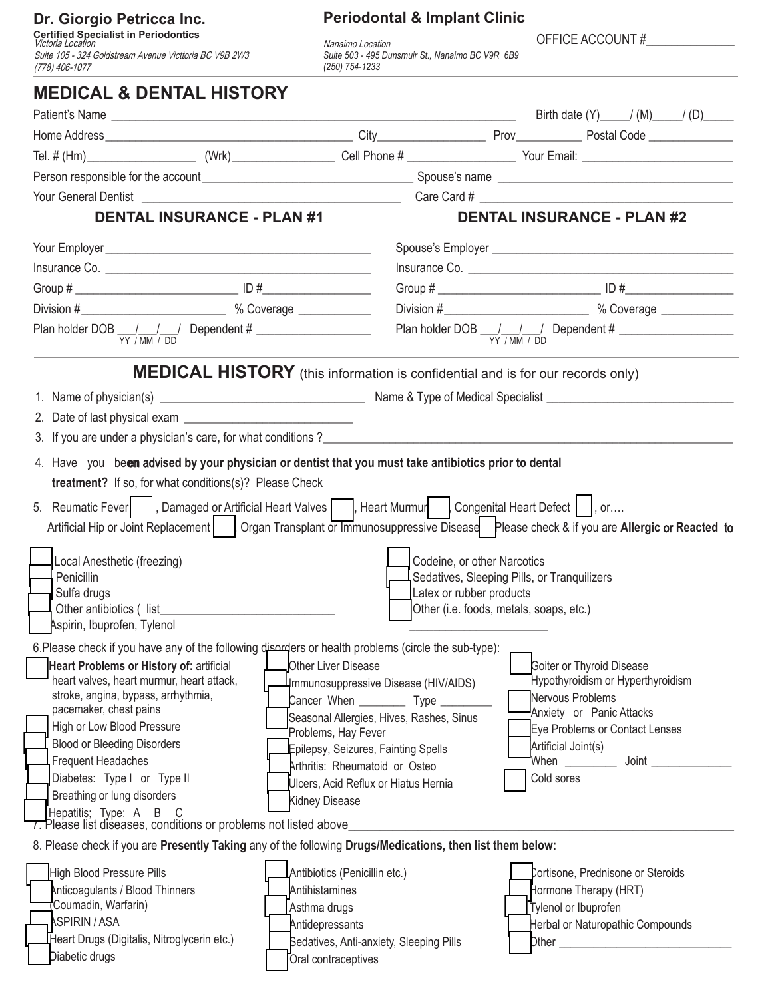## **Dr. Giorgio Petricca Inc.**<br>Certified Specialist in Periodontics<br>Victoria Location

Suite 105 - 324 Goldstream Avenue Victtoria BC V9B 2W3 (778) 406-1077

## **Periodontal & Implant Clinic**

*Suite 503 - 495 Dunsmuir St., Nanaimo BC V9R 6B9 (250) 754-1233* 

OFFICE ACCOUNT #\_\_\_\_\_\_\_\_\_\_\_\_\_\_ Nanaimo Location

| <b>MEDICAL &amp; DENTAL HISTORY</b>                                                                                                                                            |                                                                        |                                                                           |                      |                                          |  |  |
|--------------------------------------------------------------------------------------------------------------------------------------------------------------------------------|------------------------------------------------------------------------|---------------------------------------------------------------------------|----------------------|------------------------------------------|--|--|
|                                                                                                                                                                                |                                                                        |                                                                           |                      | Birth date $(Y)$ / $(M)$ / $(D)$ / $(D)$ |  |  |
|                                                                                                                                                                                |                                                                        |                                                                           |                      |                                          |  |  |
|                                                                                                                                                                                |                                                                        |                                                                           |                      |                                          |  |  |
|                                                                                                                                                                                |                                                                        |                                                                           |                      |                                          |  |  |
|                                                                                                                                                                                |                                                                        |                                                                           |                      |                                          |  |  |
| <b>DENTAL INSURANCE - PLAN #1</b>                                                                                                                                              |                                                                        |                                                                           |                      | <b>DENTAL INSURANCE - PLAN #2</b>        |  |  |
|                                                                                                                                                                                |                                                                        |                                                                           |                      |                                          |  |  |
|                                                                                                                                                                                |                                                                        |                                                                           |                      |                                          |  |  |
|                                                                                                                                                                                |                                                                        |                                                                           |                      |                                          |  |  |
|                                                                                                                                                                                |                                                                        |                                                                           |                      |                                          |  |  |
|                                                                                                                                                                                |                                                                        | Plan holder DOB $\frac{1}{\text{YY} / \text{MM} / \text{DD}}$ Dependent # |                      |                                          |  |  |
| <b>MEDICAL HISTORY</b> (this information is confidential and is for our records only)                                                                                          |                                                                        |                                                                           |                      |                                          |  |  |
|                                                                                                                                                                                |                                                                        |                                                                           |                      |                                          |  |  |
|                                                                                                                                                                                |                                                                        |                                                                           |                      |                                          |  |  |
|                                                                                                                                                                                |                                                                        |                                                                           |                      |                                          |  |  |
| 4. Have you been advised by your physician or dentist that you must take antibiotics prior to dental                                                                           |                                                                        |                                                                           |                      |                                          |  |  |
| <b>treatment?</b> If so, for what conditions(s)? Please Check                                                                                                                  |                                                                        |                                                                           |                      |                                          |  |  |
| 5. Reumatic Fever    , Damaged or Artificial Heart Valves    , Heart Murmur   Congenital Heart Defect    , or                                                                  |                                                                        |                                                                           |                      |                                          |  |  |
| Artificial Hip or Joint Replacement     Organ Transplant or Immunosuppressive Disease Please check & if you are Allergic or Reacted to                                         |                                                                        |                                                                           |                      |                                          |  |  |
| Local Anesthetic (freezing)                                                                                                                                                    |                                                                        | Codeine, or other Narcotics                                               |                      |                                          |  |  |
| Penicillin                                                                                                                                                                     |                                                                        | Sedatives, Sleeping Pills, or Tranquilizers                               |                      |                                          |  |  |
| Sulfa drugs                                                                                                                                                                    |                                                                        | Latex or rubber products                                                  |                      |                                          |  |  |
| Aspirin, Ibuprofen, Tylenol                                                                                                                                                    |                                                                        | Other (i.e. foods, metals, soaps, etc.)                                   |                      |                                          |  |  |
| 6. Please check if you have any of the following disorders or health problems (circle the sub-type):                                                                           |                                                                        |                                                                           |                      |                                          |  |  |
| Heart Problems or History of: artificial                                                                                                                                       | Other Liver Disease                                                    |                                                                           |                      | <b>Goiter or Thyroid Disease</b>         |  |  |
| heart valves, heart murmur, heart attack,                                                                                                                                      | Immunosuppressive Disease (HIV/AIDS)                                   |                                                                           |                      | Hypothyroidism or Hyperthyroidism        |  |  |
| stroke, angina, bypass, arrhythmia,                                                                                                                                            | Cancer When ___________ Type _______                                   |                                                                           | Nervous Problems     |                                          |  |  |
| pacemaker, chest pains<br>High or Low Blood Pressure                                                                                                                           | Seasonal Allergies, Hives, Rashes, Sinus                               |                                                                           |                      | Anxiety or Panic Attacks                 |  |  |
| <b>Blood or Bleeding Disorders</b>                                                                                                                                             | Problems, Hay Fever                                                    |                                                                           | Artificial Joint(s)  | Eye Problems or Contact Lenses           |  |  |
| <b>Frequent Headaches</b>                                                                                                                                                      | Epilepsy, Seizures, Fainting Spells                                    |                                                                           |                      | When ___________ Joint _________         |  |  |
| Diabetes: Type I or Type II                                                                                                                                                    | Arthritis: Rheumatoid or Osteo<br>Ulcers, Acid Reflux or Hiatus Hernia |                                                                           | Cold sores           |                                          |  |  |
| Breathing or lung disorders                                                                                                                                                    | Kidney Disease                                                         |                                                                           |                      |                                          |  |  |
| Hepatitis; Type: A B                                                                                                                                                           |                                                                        |                                                                           |                      |                                          |  |  |
| 7. Please list diseases, conditions or problems not listed above_<br>8. Please check if you are Presently Taking any of the following Drugs/Medications, then list them below: |                                                                        |                                                                           |                      |                                          |  |  |
| High Blood Pressure Pills                                                                                                                                                      | Antibiotics (Penicillin etc.)                                          |                                                                           |                      | Cortisone, Prednisone or Steroids        |  |  |
| Anticoagulants / Blood Thinners                                                                                                                                                | Antihistamines                                                         |                                                                           |                      | Hormone Therapy (HRT)                    |  |  |
| Coumadin, Warfarin)                                                                                                                                                            | Asthma drugs                                                           |                                                                           | Tylenol or Ibuprofen |                                          |  |  |
| <b>ASPIRIN / ASA</b>                                                                                                                                                           | Antidepressants                                                        |                                                                           |                      | Herbal or Naturopathic Compounds         |  |  |
| Heart Drugs (Digitalis, Nitroglycerin etc.)                                                                                                                                    | Sedatives, Anti-anxiety, Sleeping Pills                                |                                                                           |                      |                                          |  |  |
| Diabetic drugs                                                                                                                                                                 | Oral contraceptives                                                    |                                                                           |                      |                                          |  |  |